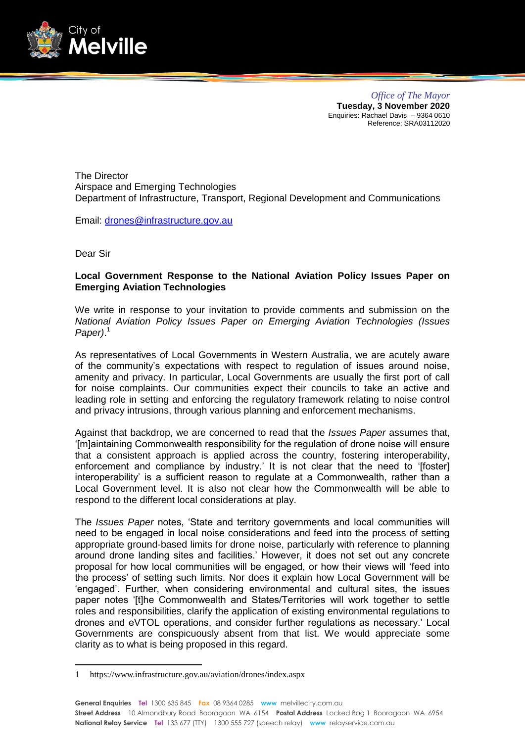

*Office of The Mayor* **Tuesday, 3 November 2020** Enquiries: Rachael Davis – 9364 0610 Reference: SRA03112020

The Director Airspace and Emerging Technologies Department of Infrastructure, Transport, Regional Development and Communications

Email: [drones@infrastructure.gov.au](mailto:drones@infrastructure.gov.au)

Dear Sir

-

## **Local Government Response to the National Aviation Policy Issues Paper on Emerging Aviation Technologies**

We write in response to your invitation to provide comments and submission on the *National Aviation Policy Issues Paper on Emerging Aviation Technologies (Issues Paper)*. 1

As representatives of Local Governments in Western Australia, we are acutely aware of the community's expectations with respect to regulation of issues around noise, amenity and privacy. In particular, Local Governments are usually the first port of call for noise complaints. Our communities expect their councils to take an active and leading role in setting and enforcing the regulatory framework relating to noise control and privacy intrusions, through various planning and enforcement mechanisms.

Against that backdrop, we are concerned to read that the *Issues Paper* assumes that, '[m]aintaining Commonwealth responsibility for the regulation of drone noise will ensure that a consistent approach is applied across the country, fostering interoperability, enforcement and compliance by industry.' It is not clear that the need to '[foster] interoperability' is a sufficient reason to regulate at a Commonwealth, rather than a Local Government level. It is also not clear how the Commonwealth will be able to respond to the different local considerations at play.

The *Issues Paper* notes, 'State and territory governments and local communities will need to be engaged in local noise considerations and feed into the process of setting appropriate ground-based limits for drone noise, particularly with reference to planning around drone landing sites and facilities.' However, it does not set out any concrete proposal for how local communities will be engaged, or how their views will 'feed into the process' of setting such limits. Nor does it explain how Local Government will be 'engaged'. Further, when considering environmental and cultural sites, the issues paper notes '[t]he Commonwealth and States/Territories will work together to settle roles and responsibilities, clarify the application of existing environmental regulations to drones and eVTOL operations, and consider further regulations as necessary.' Local Governments are conspicuously absent from that list. We would appreciate some clarity as to what is being proposed in this regard.

<sup>1</sup> https://www.infrastructure.gov.au/aviation/drones/index.aspx